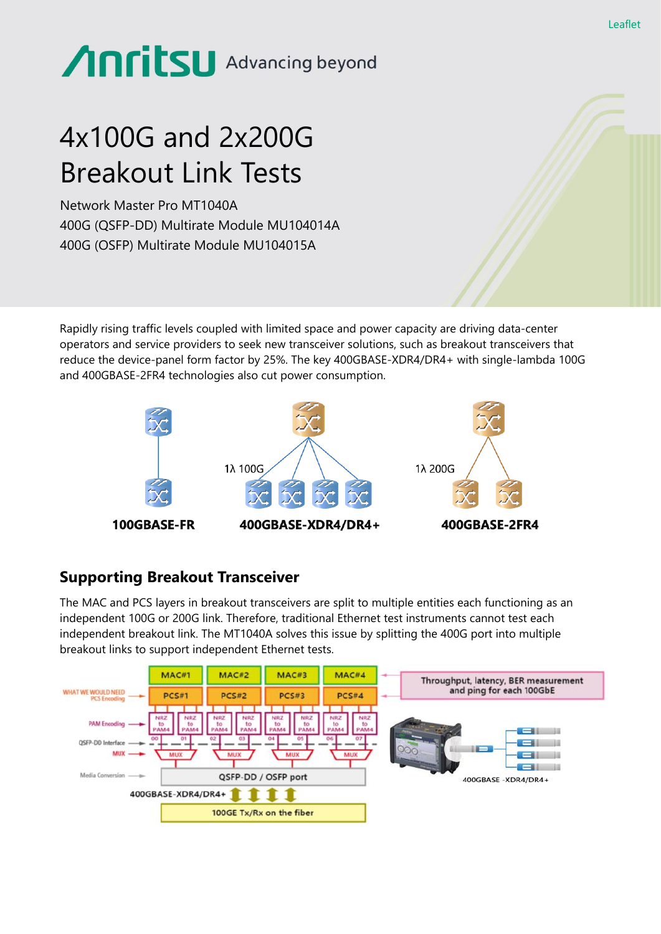# **Anritsu** Advancing beyond

## 4x100G and 2x200G Breakout Link Tests

Network Master Pro MT1040A 400G (QSFP-DD) Multirate Module MU104014A 400G (OSFP) Multirate Module MU104015A

Rapidly rising traffic levels coupled with limited space and power capacity are driving data-center operators and service providers to seek new transceiver solutions, such as breakout transceivers that reduce the device-panel form factor by 25%. The key 400GBASE-XDR4/DR4+ with single-lambda 100G and 400GBASE-2FR4 technologies also cut power consumption.



### **Supporting Breakout Transceiver**

The MAC and PCS layers in breakout transceivers are split to multiple entities each functioning as an independent 100G or 200G link. Therefore, traditional Ethernet test instruments cannot test each independent breakout link. The MT1040A solves this issue by splitting the 400G port into multiple breakout links to support independent Ethernet tests.